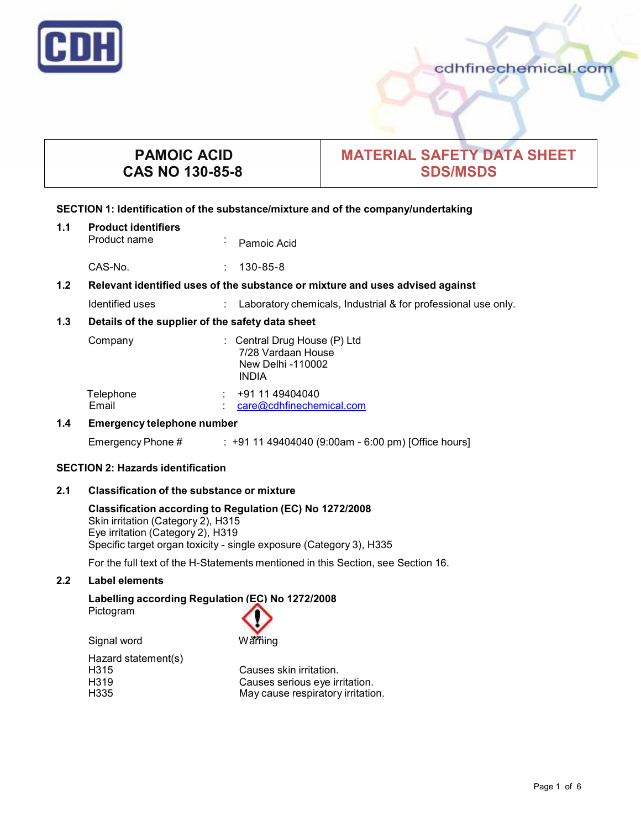

# **PAMOIC ACID CAS NO 130-85-8**

## **MATERIAL SAFETY DATA SHEET SDS/MSDS**

#### **SECTION 1: Identification of the substance/mixture and of the company/undertaking**

| 1.1 | <b>Product identifiers</b><br>Product name                                    | $\blacksquare$ | Pamoic Acid                                                                             |
|-----|-------------------------------------------------------------------------------|----------------|-----------------------------------------------------------------------------------------|
|     | CAS-No.                                                                       |                | $130 - 85 - 8$                                                                          |
| 1.2 | Relevant identified uses of the substance or mixture and uses advised against |                |                                                                                         |
|     | Identified uses                                                               |                | Laboratory chemicals, Industrial & for professional use only.                           |
| 1.3 | Details of the supplier of the safety data sheet                              |                |                                                                                         |
|     | Company                                                                       |                | : Central Drug House (P) Ltd<br>7/28 Vardaan House<br>New Delhi -110002<br><b>INDIA</b> |
|     | Telephone<br>Email                                                            |                | +91 11 49404040<br>care@cdhfinechemical.com                                             |
| 1.4 | <b>Emergency telephone number</b>                                             |                |                                                                                         |
|     | Emergency Phone #                                                             |                | : +91 11 49404040 (9:00am - 6:00 pm) [Office hours]                                     |

#### **SECTION 2: Hazards identification**

## **2.1 Classification of the substance ormixture**

## **Classification according to Regulation (EC) No 1272/2008** Skin irritation (Category 2), H315 Eye irritation (Category 2), H319 Specific target organ toxicity - single exposure (Category 3), H335

For the full text of the H-Statements mentioned in this Section, see Section 16.

## **2.2 Label elements**

## **Labelling according Regulation (EC) No 1272/2008**

Pictogram



Hazard statement(s)

H315 Causes skin irritation. H319 Causes serious eye irritation.<br>H335 **Cause Cause For the Structure of the Cause For the H335** May cause respiratory irritation.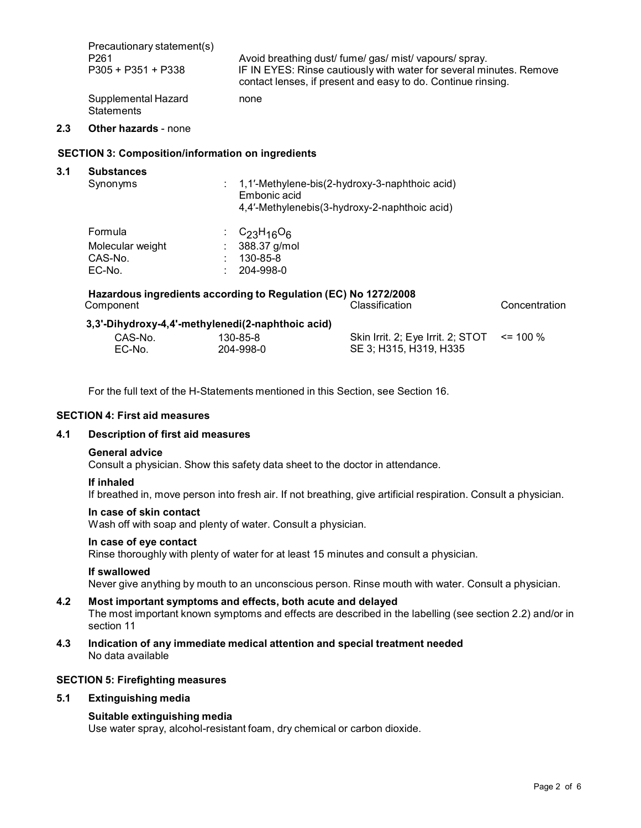| Precautionary statement(s)               | Avoid breathing dust/ fume/gas/ mist/ vapours/ spray.               |
|------------------------------------------|---------------------------------------------------------------------|
| P <sub>261</sub>                         | IF IN EYES: Rinse cautiously with water for several minutes. Remove |
| P305 + P351 + P338                       | contact lenses, if present and easy to do. Continue rinsing.        |
| Supplemental Hazard<br><b>Statements</b> | none                                                                |

## **2.3 Other hazards** - none

#### **SECTION 3: Composition/information on ingredients**

| <b>Substances</b><br>Synonyms | 1,1'-Methylene-bis(2-hydroxy-3-naphthoic acid)<br>Embonic acid<br>4,4'-Methylenebis(3-hydroxy-2-naphthoic acid) |  |
|-------------------------------|-----------------------------------------------------------------------------------------------------------------|--|
| Formula                       | $C23H16O6$                                                                                                      |  |
| Molecular weight              | 388.37 g/mol                                                                                                    |  |
| CAS-No.                       | 130-85-8                                                                                                        |  |
| EC-No.                        | $204 - 998 - 0$                                                                                                 |  |

|         | $\frac{1}{2}$ |                                                 |  |
|---------|---------------|-------------------------------------------------|--|
| CAS-No. | 130-85-8      | Skin Irrit. 2; Eye Irrit. 2; STOT $\le$ = 100 % |  |
| EC-No.  | 204-998-0     | SE 3; H315, H319, H335                          |  |

For the full text of the H-Statements mentioned in this Section, see Section 16.

#### **SECTION 4: First aid measures**

#### **4.1 Description of first aid measures**

#### **General advice**

Consult a physician. Show this safety data sheet to the doctor in attendance.

#### **If inhaled**

If breathed in, move person into fresh air. If not breathing, give artificial respiration. Consult a physician.

### **In case of skin contact**

Wash off with soap and plenty of water. Consult a physician.

#### **In case of eye contact**

Rinse thoroughly with plenty of water for at least 15 minutes and consult a physician.

#### **If swallowed**

Never give anything by mouth to an unconscious person. Rinse mouth with water. Consult a physician.

#### **4.2 Most important symptoms and effects, both acute and delayed**

The most important known symptoms and effects are described in the labelling (see section 2.2) and/or in section 11

**4.3 Indication of any immediate medical attention and special treatment needed** No data available

## **SECTION 5: Firefighting measures**

#### **5.1 Extinguishing media**

#### **Suitable extinguishing media**

Use water spray, alcohol-resistant foam, dry chemical or carbon dioxide.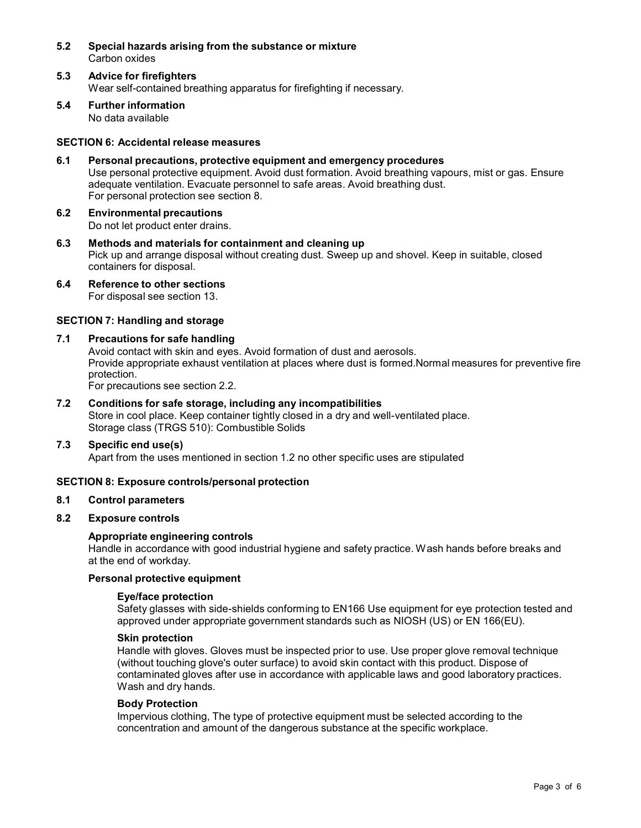- **5.2 Special hazards arising from the substance ormixture** Carbon oxides
- **5.3 Advice for firefighters** Wear self-contained breathing apparatus for firefighting if necessary.
- **5.4 Further information** No data available

#### **SECTION 6: Accidental release measures**

- **6.1 Personal precautions, protective equipment and emergency procedures** Use personal protective equipment. Avoid dust formation. Avoid breathing vapours, mist or gas. Ensure adequate ventilation. Evacuate personnel to safe areas. Avoid breathing dust. For personal protection see section 8.
- **6.2 Environmental precautions** Do not let product enter drains.
- **6.3 Methods and materials for containment and cleaning up** Pick up and arrange disposal without creating dust. Sweep up and shovel. Keep in suitable, closed containers for disposal.
- **6.4 Reference to other sections** For disposal see section 13.

## **SECTION 7: Handling and storage**

## **7.1 Precautions for safe handling**

Avoid contact with skin and eyes. Avoid formation of dust and aerosols. Provide appropriate exhaust ventilation at places where dust is formed.Normal measures for preventive fire protection.

For precautions see section 2.2.

**7.2 Conditions for safe storage, including any incompatibilities** Store in cool place. Keep container tightly closed in a dry and well-ventilated place. Storage class (TRGS 510): Combustible Solids

#### **7.3 Specific end use(s)**

Apart from the uses mentioned in section 1.2 no other specific uses are stipulated

#### **SECTION 8: Exposure controls/personal protection**

## **8.1 Control parameters**

## **8.2 Exposure controls**

#### **Appropriate engineering controls**

Handle in accordance with good industrial hygiene and safety practice. Wash hands before breaks and at the end of workday.

#### **Personal protective equipment**

#### **Eye/face protection**

Safety glasses with side-shields conforming to EN166 Use equipment for eye protection tested and approved under appropriate government standards such as NIOSH (US) or EN 166(EU).

#### **Skin protection**

Handle with gloves. Gloves must be inspected prior to use. Use proper glove removal technique (without touching glove's outer surface) to avoid skin contact with this product. Dispose of contaminated gloves after use in accordance with applicable laws and good laboratory practices. Wash and dry hands.

#### **Body Protection**

Impervious clothing, The type of protective equipment must be selected according to the concentration and amount of the dangerous substance at the specific workplace.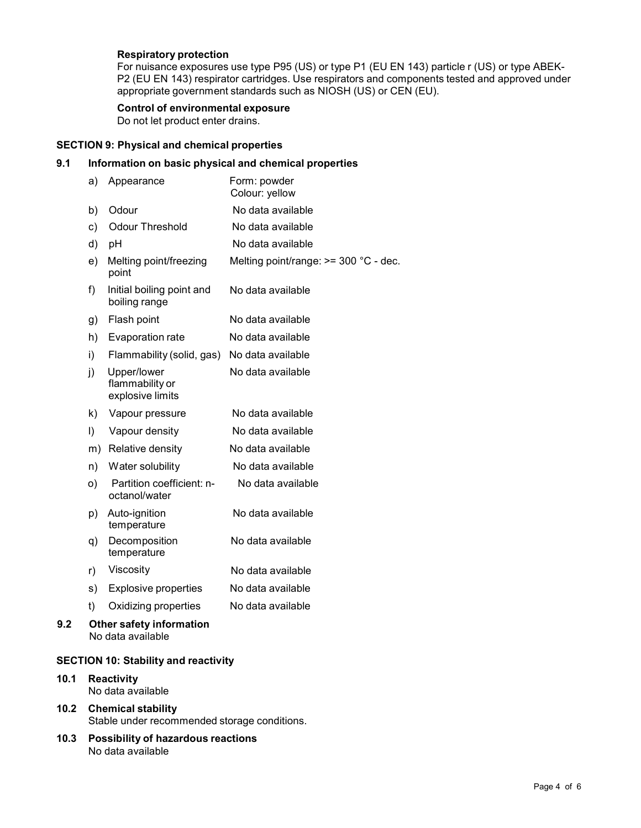## **Respiratory protection**

For nuisance exposures use type P95 (US) or type P1 (EU EN 143) particle r (US) or type ABEK- P2 (EU EN 143) respirator cartridges. Use respirators and components tested and approved under appropriate government standards such as NIOSH (US) or CEN (EU).

## **Control of environmental exposure**

Do not let product enter drains.

## **SECTION 9: Physical and chemical properties**

## **9.1 Information on basic physical and chemical properties**

| a)      | Appearance                                         | Form: powder<br>Colour: yellow          |
|---------|----------------------------------------------------|-----------------------------------------|
| b)      | Odour                                              | No data available                       |
| c)      | Odour Threshold                                    | No data available                       |
| d)      | рH                                                 | No data available                       |
| e)      | Melting point/freezing<br>point                    | Melting point/range: $>=$ 300 °C - dec. |
| f)      | Initial boiling point and<br>boiling range         | No data available                       |
| g)      | Flash point                                        | No data available                       |
| h)      | Evaporation rate                                   | No data available                       |
| i)      | Flammability (solid, gas)                          | No data available                       |
| j)      | Upper/lower<br>flammability or<br>explosive limits | No data available                       |
| k)      | Vapour pressure                                    | No data available                       |
| $\vert$ | Vapour density                                     | No data available                       |
| m)      | Relative density                                   | No data available                       |
| n)      | Water solubility                                   | No data available                       |
| O)      | Partition coefficient: n-<br>octanol/water         | No data available                       |
| p)      | Auto-ignition<br>temperature                       | No data available                       |
| q)      | Decomposition<br>temperature                       | No data available                       |
| r)      | Viscosity                                          | No data available                       |
|         | <b>Explosive properties</b>                        | No data available                       |
| s)      |                                                    |                                         |
| t)      | Oxidizing properties                               | No data available                       |

No data available

## **SECTION 10: Stability and reactivity**

- **10.1 Reactivity** No data available
- **10.2 Chemical stability** Stable under recommended storage conditions.
- **10.3 Possibility of hazardous reactions** No data available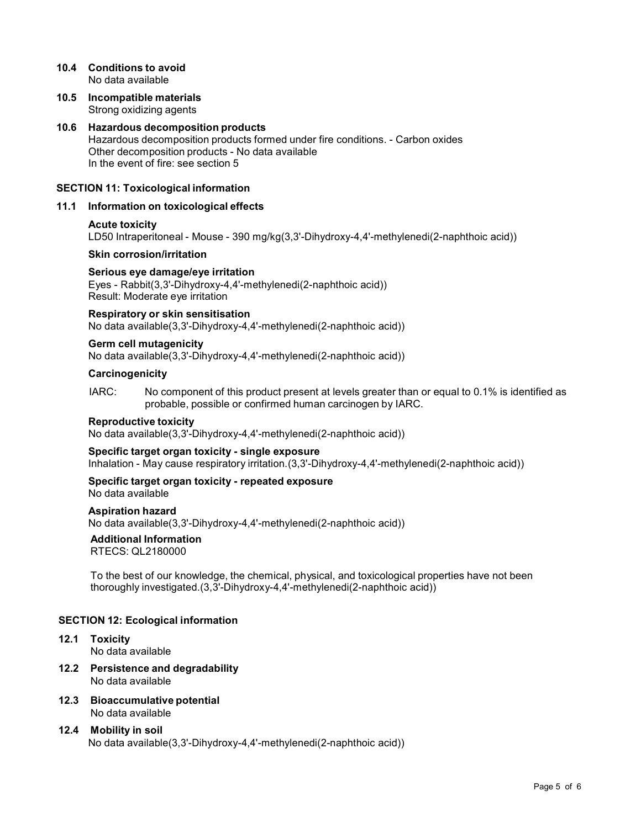## **10.4 Conditions to avoid** No data available

**10.5 Incompatible materials** Strong oxidizing agents

## **10.6 Hazardous decomposition products** Hazardous decomposition products formed under fire conditions. - Carbon oxides Other decomposition products - No data available In the event of fire: see section 5

## **SECTION 11: Toxicological information**

## **11.1 Information on toxicological effects**

## **Acute toxicity**

LD50 Intraperitoneal - Mouse - 390 mg/kg(3,3'-Dihydroxy-4,4'-methylenedi(2-naphthoic acid))

#### **Skin corrosion/irritation**

#### **Serious eye damage/eye irritation**

Eyes - Rabbit(3,3'-Dihydroxy-4,4'-methylenedi(2-naphthoic acid)) Result: Moderate eye irritation

#### **Respiratory orskin sensitisation**

No data available(3,3'-Dihydroxy-4,4'-methylenedi(2-naphthoic acid))

#### **Germ cell mutagenicity** No data available(3,3'-Dihydroxy-4,4'-methylenedi(2-naphthoic acid))

## **Carcinogenicity**

IARC: No component of this product present at levels greater than or equal to 0.1% is identified as probable, possible or confirmed human carcinogen by IARC.

#### **Reproductive toxicity**

No data available(3,3'-Dihydroxy-4,4'-methylenedi(2-naphthoic acid))

#### **Specific target organ toxicity - single exposure**

Inhalation - May cause respiratory irritation.(3,3'-Dihydroxy-4,4'-methylenedi(2-naphthoic acid))

## **Specific target organ toxicity - repeated exposure**

No data available

## **Aspiration hazard**

No data available(3,3'-Dihydroxy-4,4'-methylenedi(2-naphthoic acid))

#### **Additional Information**

RTECS: QL2180000

To the best of our knowledge, the chemical, physical, and toxicological properties have not been thoroughly investigated.(3,3'-Dihydroxy-4,4'-methylenedi(2-naphthoic acid))

#### **SECTION 12: Ecological information**

#### **12.1 Toxicity** No data available

- **12.2 Persistence and degradability** No data available
- **12.3 Bioaccumulative potential** No data available

## **12.4 Mobility in soil** No data available(3,3'-Dihydroxy-4,4'-methylenedi(2-naphthoic acid))